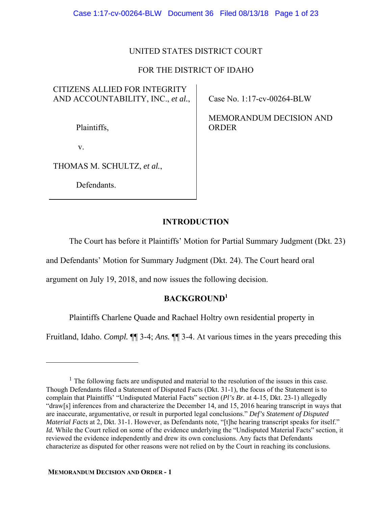## UNITED STATES DISTRICT COURT

## FOR THE DISTRICT OF IDAHO

# CITIZENS ALLIED FOR INTEGRITY AND ACCOUNTABILITY, INC., *et al.*,

Plaintiffs,

v.

 $\overline{a}$ 

THOMAS M. SCHULTZ, *et al.*,

Defendants.

Case No. 1:17-cv-00264-BLW

MEMORANDUM DECISION AND ORDER

## **INTRODUCTION**

The Court has before it Plaintiffs' Motion for Partial Summary Judgment (Dkt. 23)

and Defendants' Motion for Summary Judgment (Dkt. 24). The Court heard oral

argument on July 19, 2018, and now issues the following decision.

## **BACKGROUND1**

Plaintiffs Charlene Quade and Rachael Holtry own residential property in

Fruitland, Idaho. *Compl.* ¶¶ 3-4; *Ans.* ¶¶ 3-4. At various times in the years preceding this

 $<sup>1</sup>$  The following facts are undisputed and material to the resolution of the issues in this case.</sup> Though Defendants filed a Statement of Disputed Facts (Dkt. 31-1), the focus of the Statement is to complain that Plaintiffs' "Undisputed Material Facts" section (*Pl's Br.* at 4-15, Dkt. 23-1) allegedly "draw[s] inferences from and characterize the December 14, and 15, 2016 hearing transcript in ways that are inaccurate, argumentative, or result in purported legal conclusions." *Def's Statement of Disputed Material Facts* at 2, Dkt. 31-1. However, as Defendants note, "[t]he hearing transcript speaks for itself." *Id.* While the Court relied on some of the evidence underlying the "Undisputed Material Facts" section, it reviewed the evidence independently and drew its own conclusions. Any facts that Defendants characterize as disputed for other reasons were not relied on by the Court in reaching its conclusions.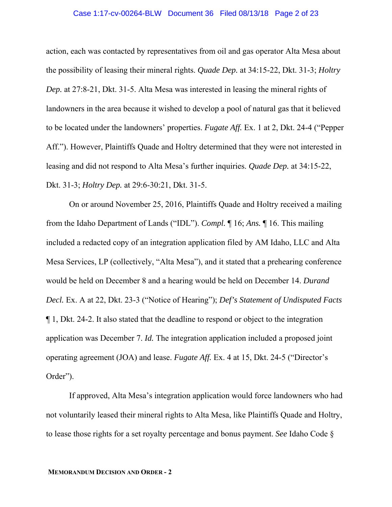## Case 1:17-cv-00264-BLW Document 36 Filed 08/13/18 Page 2 of 23

action, each was contacted by representatives from oil and gas operator Alta Mesa about the possibility of leasing their mineral rights. *Quade Dep.* at 34:15-22, Dkt. 31-3; *Holtry Dep.* at 27:8-21, Dkt. 31-5. Alta Mesa was interested in leasing the mineral rights of landowners in the area because it wished to develop a pool of natural gas that it believed to be located under the landowners' properties. *Fugate Aff.* Ex. 1 at 2, Dkt. 24-4 ("Pepper Aff."). However, Plaintiffs Quade and Holtry determined that they were not interested in leasing and did not respond to Alta Mesa's further inquiries. *Quade Dep.* at 34:15-22, Dkt. 31-3; *Holtry Dep.* at 29:6-30:21, Dkt. 31-5.

On or around November 25, 2016, Plaintiffs Quade and Holtry received a mailing from the Idaho Department of Lands ("IDL"). *Compl.* ¶ 16; *Ans.* ¶ 16. This mailing included a redacted copy of an integration application filed by AM Idaho, LLC and Alta Mesa Services, LP (collectively, "Alta Mesa"), and it stated that a prehearing conference would be held on December 8 and a hearing would be held on December 14. *Durand Decl.* Ex. A at 22, Dkt. 23-3 ("Notice of Hearing"); *Def's Statement of Undisputed Facts* ¶ 1, Dkt. 24-2. It also stated that the deadline to respond or object to the integration application was December 7. *Id.* The integration application included a proposed joint operating agreement (JOA) and lease. *Fugate Aff.* Ex. 4 at 15, Dkt. 24-5 ("Director's Order").

If approved, Alta Mesa's integration application would force landowners who had not voluntarily leased their mineral rights to Alta Mesa, like Plaintiffs Quade and Holtry, to lease those rights for a set royalty percentage and bonus payment. *See* Idaho Code §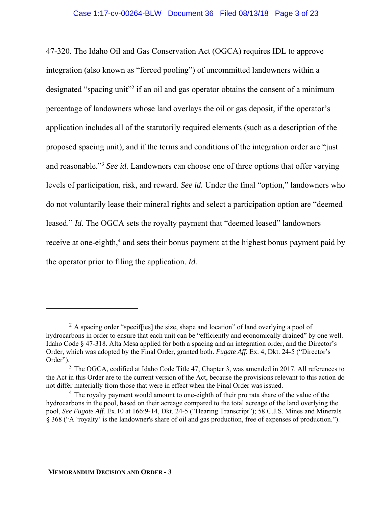47-320. The Idaho Oil and Gas Conservation Act (OGCA) requires IDL to approve integration (also known as "forced pooling") of uncommitted landowners within a designated "spacing unit"<sup>2</sup> if an oil and gas operator obtains the consent of a minimum percentage of landowners whose land overlays the oil or gas deposit, if the operator's application includes all of the statutorily required elements (such as a description of the proposed spacing unit), and if the terms and conditions of the integration order are "just and reasonable."3 *See id.* Landowners can choose one of three options that offer varying levels of participation, risk, and reward. *See id.* Under the final "option," landowners who do not voluntarily lease their mineral rights and select a participation option are "deemed leased." *Id.* The OGCA sets the royalty payment that "deemed leased" landowners receive at one-eighth,<sup>4</sup> and sets their bonus payment at the highest bonus payment paid by the operator prior to filing the application. *Id.*

<sup>&</sup>lt;sup>2</sup> A spacing order "speciffies] the size, shape and location" of land overlying a pool of hydrocarbons in order to ensure that each unit can be "efficiently and economically drained" by one well. Idaho Code § 47-318. Alta Mesa applied for both a spacing and an integration order, and the Director's Order, which was adopted by the Final Order, granted both. *Fugate Aff.* Ex. 4, Dkt. 24-5 ("Director's Order").

<sup>&</sup>lt;sup>3</sup> The OGCA, codified at Idaho Code Title 47, Chapter 3, was amended in 2017. All references to the Act in this Order are to the current version of the Act, because the provisions relevant to this action do not differ materially from those that were in effect when the Final Order was issued.

 $<sup>4</sup>$  The royalty payment would amount to one-eighth of their pro rata share of the value of the</sup> hydrocarbons in the pool, based on their acreage compared to the total acreage of the land overlying the pool, *See Fugate Aff.* Ex.10 at 166:9-14, Dkt. 24-5 ("Hearing Transcript"); 58 C.J.S. Mines and Minerals § 368 ("A 'royalty' is the landowner's share of oil and gas production, free of expenses of production.").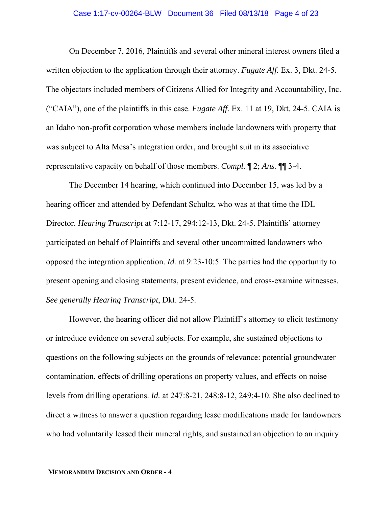#### Case 1:17-cv-00264-BLW Document 36 Filed 08/13/18 Page 4 of 23

On December 7, 2016, Plaintiffs and several other mineral interest owners filed a written objection to the application through their attorney. *Fugate Aff.* Ex. 3, Dkt. 24-5. The objectors included members of Citizens Allied for Integrity and Accountability, Inc. ("CAIA"), one of the plaintiffs in this case. *Fugate Aff.* Ex. 11 at 19, Dkt. 24-5. CAIA is an Idaho non-profit corporation whose members include landowners with property that was subject to Alta Mesa's integration order, and brought suit in its associative representative capacity on behalf of those members. *Compl.* ¶ 2; *Ans.* ¶¶ 3-4.

The December 14 hearing, which continued into December 15, was led by a hearing officer and attended by Defendant Schultz, who was at that time the IDL Director. *Hearing Transcript* at 7:12-17, 294:12-13, Dkt. 24-5. Plaintiffs' attorney participated on behalf of Plaintiffs and several other uncommitted landowners who opposed the integration application. *Id.* at 9:23-10:5. The parties had the opportunity to present opening and closing statements, present evidence, and cross-examine witnesses. *See generally Hearing Transcript*, Dkt. 24-5*.*

However, the hearing officer did not allow Plaintiff's attorney to elicit testimony or introduce evidence on several subjects. For example, she sustained objections to questions on the following subjects on the grounds of relevance: potential groundwater contamination, effects of drilling operations on property values, and effects on noise levels from drilling operations. *Id.* at 247:8-21, 248:8-12, 249:4-10. She also declined to direct a witness to answer a question regarding lease modifications made for landowners who had voluntarily leased their mineral rights, and sustained an objection to an inquiry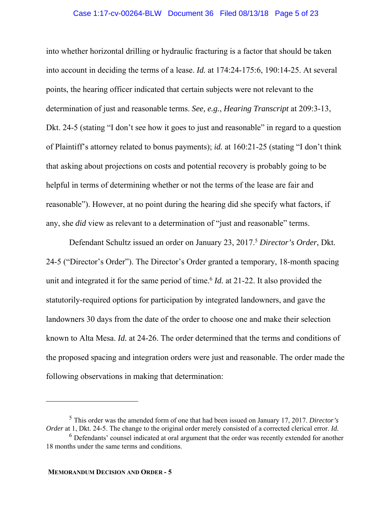#### Case 1:17-cv-00264-BLW Document 36 Filed 08/13/18 Page 5 of 23

into whether horizontal drilling or hydraulic fracturing is a factor that should be taken into account in deciding the terms of a lease. *Id.* at 174:24-175:6, 190:14-25. At several points, the hearing officer indicated that certain subjects were not relevant to the determination of just and reasonable terms. *See, e.g.*, *Hearing Transcript* at 209:3-13, Dkt. 24-5 (stating "I don't see how it goes to just and reasonable" in regard to a question of Plaintiff's attorney related to bonus payments); *id.* at 160:21-25 (stating "I don't think that asking about projections on costs and potential recovery is probably going to be helpful in terms of determining whether or not the terms of the lease are fair and reasonable"). However, at no point during the hearing did she specify what factors, if any, she *did* view as relevant to a determination of "just and reasonable" terms.

 Defendant Schultz issued an order on January 23, 2017.5 *Director's Order*, Dkt. 24-5 ("Director's Order"). The Director's Order granted a temporary, 18-month spacing unit and integrated it for the same period of time.<sup>6</sup> *Id.* at 21-22. It also provided the statutorily-required options for participation by integrated landowners, and gave the landowners 30 days from the date of the order to choose one and make their selection known to Alta Mesa. *Id.* at 24-26. The order determined that the terms and conditions of the proposed spacing and integration orders were just and reasonable. The order made the following observations in making that determination:

<sup>5</sup> This order was the amended form of one that had been issued on January 17, 2017. *Director's Order* at 1, Dkt. 24-5. The change to the original order merely consisted of a corrected clerical error. *Id.*

 $6$  Defendants' counsel indicated at oral argument that the order was recently extended for another 18 months under the same terms and conditions.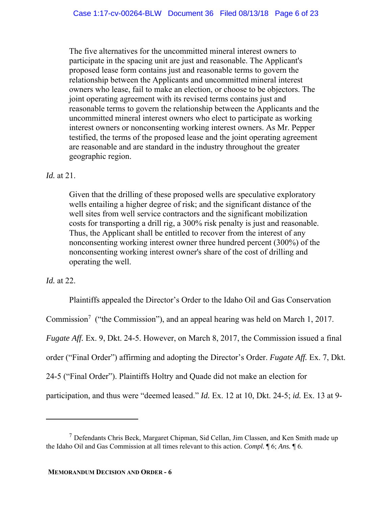The five alternatives for the uncommitted mineral interest owners to participate in the spacing unit are just and reasonable. The Applicant's proposed lease form contains just and reasonable terms to govern the relationship between the Applicants and uncommitted mineral interest owners who lease, fail to make an election, or choose to be objectors. The joint operating agreement with its revised terms contains just and reasonable terms to govern the relationship between the Applicants and the uncommitted mineral interest owners who elect to participate as working interest owners or nonconsenting working interest owners. As Mr. Pepper testified, the terms of the proposed lease and the joint operating agreement are reasonable and are standard in the industry throughout the greater geographic region.

## *Id.* at 21.

Given that the drilling of these proposed wells are speculative exploratory wells entailing a higher degree of risk; and the significant distance of the well sites from well service contractors and the significant mobilization costs for transporting a drill rig, a 300% risk penalty is just and reasonable. Thus, the Applicant shall be entitled to recover from the interest of any nonconsenting working interest owner three hundred percent (300%) of the nonconsenting working interest owner's share of the cost of drilling and operating the well.

## *Id.* at 22.

 $\overline{a}$ 

 Plaintiffs appealed the Director's Order to the Idaho Oil and Gas Conservation Commission<sup>7</sup> ("the Commission"), and an appeal hearing was held on March 1, 2017. *Fugate Aff.* Ex. 9, Dkt. 24-5. However, on March 8, 2017, the Commission issued a final order ("Final Order") affirming and adopting the Director's Order. *Fugate Aff.* Ex. 7, Dkt. 24-5 ("Final Order"). Plaintiffs Holtry and Quade did not make an election for participation, and thus were "deemed leased." *Id.* Ex. 12 at 10, Dkt. 24-5; *id.* Ex. 13 at 9-

<sup>7</sup> Defendants Chris Beck, Margaret Chipman, Sid Cellan, Jim Classen, and Ken Smith made up the Idaho Oil and Gas Commission at all times relevant to this action. *Compl.* ¶ 6; *Ans.* ¶ 6.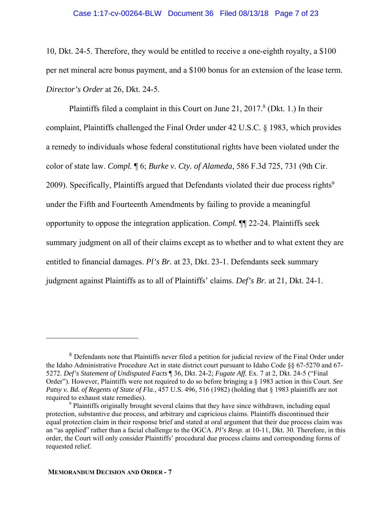#### Case 1:17-cv-00264-BLW Document 36 Filed 08/13/18 Page 7 of 23

10, Dkt. 24-5. Therefore, they would be entitled to receive a one-eighth royalty, a \$100 per net mineral acre bonus payment, and a \$100 bonus for an extension of the lease term. *Director's Order* at 26, Dkt. 24-5.

Plaintiffs filed a complaint in this Court on June 21,  $2017.8$  (Dkt. 1.) In their complaint, Plaintiffs challenged the Final Order under 42 U.S.C. § 1983, which provides a remedy to individuals whose federal constitutional rights have been violated under the color of state law. *Compl.* ¶ 6; *Burke v. Cty. of Alameda*, 586 F.3d 725, 731 (9th Cir. 2009). Specifically, Plaintiffs argued that Defendants violated their due process rights<sup>9</sup> under the Fifth and Fourteenth Amendments by failing to provide a meaningful opportunity to oppose the integration application. *Compl.* ¶¶ 22-24. Plaintiffs seek summary judgment on all of their claims except as to whether and to what extent they are entitled to financial damages. *Pl's Br.* at 23, Dkt. 23-1. Defendants seek summary judgment against Plaintiffs as to all of Plaintiffs' claims. *Def's Br.* at 21, Dkt. 24-1.

<sup>8</sup> Defendants note that Plaintiffs never filed a petition for judicial review of the Final Order under the Idaho Administrative Procedure Act in state district court pursuant to Idaho Code §§ 67-5270 and 67- 5272. *Def's Statement of Undisputed Facts* ¶ 36, Dkt. 24-2; *Fugate Aff.* Ex. 7 at 2, Dkt. 24-5 ("Final Order"). However, Plaintiffs were not required to do so before bringing a § 1983 action in this Court. *See Patsy v. Bd. of Regents of State of Fla.*, 457 U.S. 496, 516 (1982) (holding that § 1983 plaintiffs are not required to exhaust state remedies).

<sup>&</sup>lt;sup>9</sup> Plaintiffs originally brought several claims that they have since withdrawn, including equal protection, substantive due process, and arbitrary and capricious claims. Plaintiffs discontinued their equal protection claim in their response brief and stated at oral argument that their due process claim was an "as applied" rather than a facial challenge to the OGCA. *Pl's Resp.* at 10-11, Dkt. 30. Therefore, in this order, the Court will only consider Plaintiffs' procedural due process claims and corresponding forms of requested relief.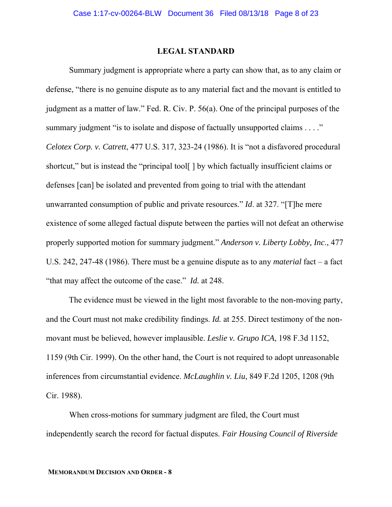### **LEGAL STANDARD**

Summary judgment is appropriate where a party can show that, as to any claim or defense, "there is no genuine dispute as to any material fact and the movant is entitled to judgment as a matter of law." Fed. R. Civ. P. 56(a). One of the principal purposes of the summary judgment "is to isolate and dispose of factually unsupported claims . . . ." *Celotex Corp. v. Catrett*, 477 U.S. 317, 323-24 (1986). It is "not a disfavored procedural shortcut," but is instead the "principal tool[ ] by which factually insufficient claims or defenses [can] be isolated and prevented from going to trial with the attendant unwarranted consumption of public and private resources." *Id*. at 327. "[T]he mere existence of some alleged factual dispute between the parties will not defeat an otherwise properly supported motion for summary judgment." *Anderson v. Liberty Lobby, Inc*., 477 U.S. 242, 247-48 (1986). There must be a genuine dispute as to any *material* fact – a fact "that may affect the outcome of the case." *Id.* at 248.

The evidence must be viewed in the light most favorable to the non-moving party, and the Court must not make credibility findings. *Id.* at 255. Direct testimony of the nonmovant must be believed, however implausible. *Leslie v. Grupo ICA*, 198 F.3d 1152, 1159 (9th Cir. 1999). On the other hand, the Court is not required to adopt unreasonable inferences from circumstantial evidence. *McLaughlin v. Liu*, 849 F.2d 1205, 1208 (9th Cir. 1988).

 When cross-motions for summary judgment are filed, the Court must independently search the record for factual disputes. *Fair Housing Council of Riverside*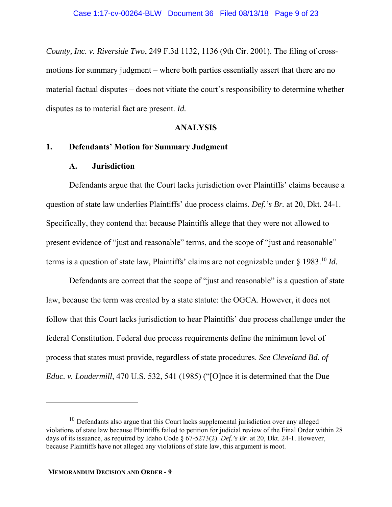*County, Inc. v. Riverside Two*, 249 F.3d 1132, 1136 (9th Cir. 2001). The filing of crossmotions for summary judgment – where both parties essentially assert that there are no material factual disputes – does not vitiate the court's responsibility to determine whether disputes as to material fact are present. *Id.*

### **ANALYSIS**

### **1. Defendants' Motion for Summary Judgment**

### **A. Jurisdiction**

Defendants argue that the Court lacks jurisdiction over Plaintiffs' claims because a question of state law underlies Plaintiffs' due process claims. *Def.'s Br.* at 20, Dkt. 24-1. Specifically, they contend that because Plaintiffs allege that they were not allowed to present evidence of "just and reasonable" terms, and the scope of "just and reasonable" terms is a question of state law, Plaintiffs' claims are not cognizable under § 1983.10 *Id.*

Defendants are correct that the scope of "just and reasonable" is a question of state law, because the term was created by a state statute: the OGCA. However, it does not follow that this Court lacks jurisdiction to hear Plaintiffs' due process challenge under the federal Constitution. Federal due process requirements define the minimum level of process that states must provide, regardless of state procedures. *See Cleveland Bd. of Educ. v. Loudermill*, 470 U.S. 532, 541 (1985) ("[O]nce it is determined that the Due

 $10$  Defendants also argue that this Court lacks supplemental jurisdiction over any alleged violations of state law because Plaintiffs failed to petition for judicial review of the Final Order within 28 days of its issuance, as required by Idaho Code § 67-5273(2). *Def.'s Br.* at 20, Dkt. 24-1. However, because Plaintiffs have not alleged any violations of state law, this argument is moot.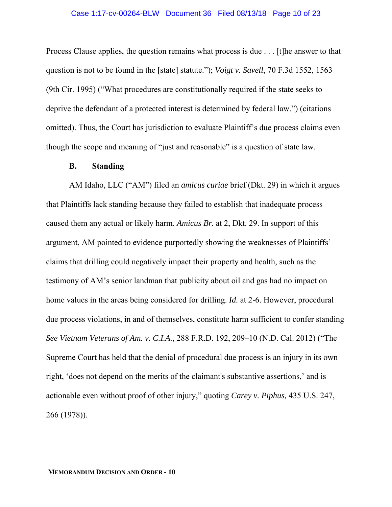#### Case 1:17-cv-00264-BLW Document 36 Filed 08/13/18 Page 10 of 23

Process Clause applies, the question remains what process is due . . . [t]he answer to that question is not to be found in the [state] statute."); *Voigt v. Savell*, 70 F.3d 1552, 1563 (9th Cir. 1995) ("What procedures are constitutionally required if the state seeks to deprive the defendant of a protected interest is determined by federal law.") (citations omitted). Thus, the Court has jurisdiction to evaluate Plaintiff's due process claims even though the scope and meaning of "just and reasonable" is a question of state law.

#### **B. Standing**

AM Idaho, LLC ("AM") filed an *amicus curiae* brief (Dkt. 29) in which it argues that Plaintiffs lack standing because they failed to establish that inadequate process caused them any actual or likely harm. *Amicus Br.* at 2, Dkt. 29. In support of this argument, AM pointed to evidence purportedly showing the weaknesses of Plaintiffs' claims that drilling could negatively impact their property and health, such as the testimony of AM's senior landman that publicity about oil and gas had no impact on home values in the areas being considered for drilling. *Id.* at 2-6. However, procedural due process violations, in and of themselves, constitute harm sufficient to confer standing *See Vietnam Veterans of Am. v. C.I.A.*, 288 F.R.D. 192, 209–10 (N.D. Cal. 2012) ("The Supreme Court has held that the denial of procedural due process is an injury in its own right, 'does not depend on the merits of the claimant's substantive assertions,' and is actionable even without proof of other injury," quoting *Carey v. Piphus,* 435 U.S. 247, 266 (1978)).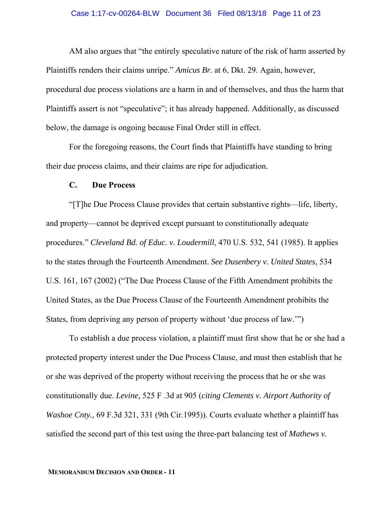AM also argues that "the entirely speculative nature of the risk of harm asserted by Plaintiffs renders their claims unripe." *Amicus Br.* at 6, Dkt. 29. Again, however, procedural due process violations are a harm in and of themselves, and thus the harm that Plaintiffs assert is not "speculative"; it has already happened. Additionally, as discussed below, the damage is ongoing because Final Order still in effect.

For the foregoing reasons, the Court finds that Plaintiffs have standing to bring their due process claims, and their claims are ripe for adjudication.

### **C. Due Process**

"[T]he Due Process Clause provides that certain substantive rights—life, liberty, and property—cannot be deprived except pursuant to constitutionally adequate procedures." *Cleveland Bd. of Educ. v. Loudermill*, 470 U.S. 532, 541 (1985). It applies to the states through the Fourteenth Amendment. *See Dusenbery v. United States*, 534 U.S. 161, 167 (2002) ("The Due Process Clause of the Fifth Amendment prohibits the United States, as the Due Process Clause of the Fourteenth Amendment prohibits the States, from depriving any person of property without 'due process of law.'")

To establish a due process violation, a plaintiff must first show that he or she had a protected property interest under the Due Process Clause, and must then establish that he or she was deprived of the property without receiving the process that he or she was constitutionally due. *Levine,* 525 F .3d at 905 (*citing Clements v. Airport Authority of Washoe Cnty.,* 69 F.3d 321, 331 (9th Cir.1995)). Courts evaluate whether a plaintiff has satisfied the second part of this test using the three-part balancing test of *Mathews v.*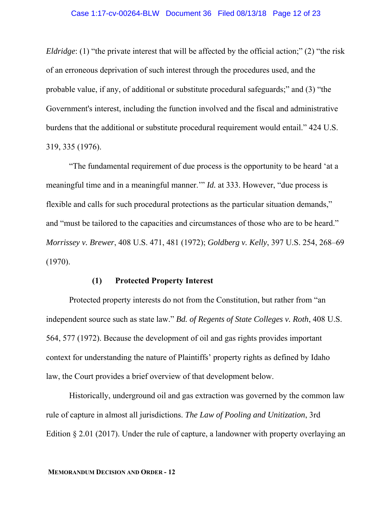#### Case 1:17-cv-00264-BLW Document 36 Filed 08/13/18 Page 12 of 23

*Eldridge*: (1) "the private interest that will be affected by the official action;" (2) "the risk of an erroneous deprivation of such interest through the procedures used, and the probable value, if any, of additional or substitute procedural safeguards;" and (3) "the Government's interest, including the function involved and the fiscal and administrative burdens that the additional or substitute procedural requirement would entail." 424 U.S. 319, 335 (1976).

"The fundamental requirement of due process is the opportunity to be heard 'at a meaningful time and in a meaningful manner.'" *Id.* at 333. However, "due process is flexible and calls for such procedural protections as the particular situation demands," and "must be tailored to the capacities and circumstances of those who are to be heard." *Morrissey v. Brewer*, 408 U.S. 471, 481 (1972); *Goldberg v. Kelly*, 397 U.S. 254, 268–69 (1970).

## **(1) Protected Property Interest**

Protected property interests do not from the Constitution, but rather from "an independent source such as state law." *Bd. of Regents of State Colleges v. Roth*, 408 U.S. 564, 577 (1972). Because the development of oil and gas rights provides important context for understanding the nature of Plaintiffs' property rights as defined by Idaho law, the Court provides a brief overview of that development below.

Historically, underground oil and gas extraction was governed by the common law rule of capture in almost all jurisdictions. *The Law of Pooling and Unitization*, 3rd Edition § 2.01 (2017). Under the rule of capture, a landowner with property overlaying an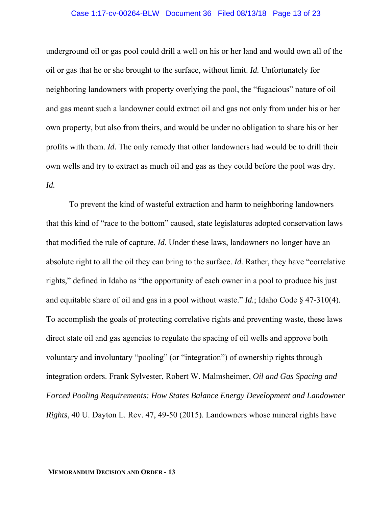#### Case 1:17-cv-00264-BLW Document 36 Filed 08/13/18 Page 13 of 23

underground oil or gas pool could drill a well on his or her land and would own all of the oil or gas that he or she brought to the surface, without limit. *Id.* Unfortunately for neighboring landowners with property overlying the pool, the "fugacious" nature of oil and gas meant such a landowner could extract oil and gas not only from under his or her own property, but also from theirs, and would be under no obligation to share his or her profits with them. *Id.* The only remedy that other landowners had would be to drill their own wells and try to extract as much oil and gas as they could before the pool was dry. *Id.* 

To prevent the kind of wasteful extraction and harm to neighboring landowners that this kind of "race to the bottom" caused, state legislatures adopted conservation laws that modified the rule of capture. *Id.* Under these laws, landowners no longer have an absolute right to all the oil they can bring to the surface. *Id.* Rather, they have "correlative rights," defined in Idaho as "the opportunity of each owner in a pool to produce his just and equitable share of oil and gas in a pool without waste." *Id.*; Idaho Code § 47-310(4). To accomplish the goals of protecting correlative rights and preventing waste, these laws direct state oil and gas agencies to regulate the spacing of oil wells and approve both voluntary and involuntary "pooling" (or "integration") of ownership rights through integration orders. Frank Sylvester, Robert W. Malmsheimer, *Oil and Gas Spacing and Forced Pooling Requirements: How States Balance Energy Development and Landowner Rights*, 40 U. Dayton L. Rev. 47, 49-50 (2015). Landowners whose mineral rights have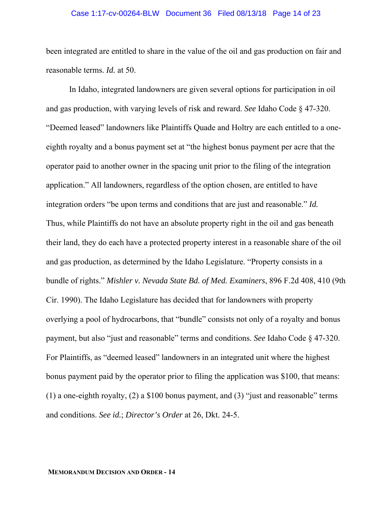#### Case 1:17-cv-00264-BLW Document 36 Filed 08/13/18 Page 14 of 23

been integrated are entitled to share in the value of the oil and gas production on fair and reasonable terms. *Id.* at 50.

In Idaho, integrated landowners are given several options for participation in oil and gas production, with varying levels of risk and reward. *See* Idaho Code § 47-320. "Deemed leased" landowners like Plaintiffs Quade and Holtry are each entitled to a oneeighth royalty and a bonus payment set at "the highest bonus payment per acre that the operator paid to another owner in the spacing unit prior to the filing of the integration application." All landowners, regardless of the option chosen, are entitled to have integration orders "be upon terms and conditions that are just and reasonable." *Id.* Thus, while Plaintiffs do not have an absolute property right in the oil and gas beneath their land, they do each have a protected property interest in a reasonable share of the oil and gas production, as determined by the Idaho Legislature. "Property consists in a bundle of rights." *Mishler v. Nevada State Bd. of Med. Examiners*, 896 F.2d 408, 410 (9th Cir. 1990). The Idaho Legislature has decided that for landowners with property overlying a pool of hydrocarbons, that "bundle" consists not only of a royalty and bonus payment, but also "just and reasonable" terms and conditions. *See* Idaho Code § 47-320. For Plaintiffs, as "deemed leased" landowners in an integrated unit where the highest bonus payment paid by the operator prior to filing the application was \$100, that means: (1) a one-eighth royalty, (2) a \$100 bonus payment, and (3) "just and reasonable" terms and conditions. *See id.*; *Director's Order* at 26, Dkt. 24-5.

#### **MEMORANDUM DECISION AND ORDER - 14**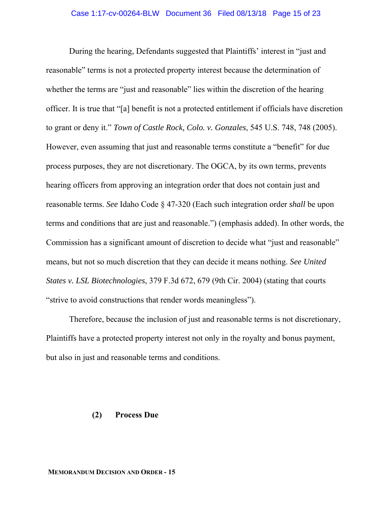During the hearing, Defendants suggested that Plaintiffs' interest in "just and reasonable" terms is not a protected property interest because the determination of whether the terms are "just and reasonable" lies within the discretion of the hearing officer. It is true that "[a] benefit is not a protected entitlement if officials have discretion to grant or deny it." *Town of Castle Rock, Colo. v. Gonzales*, 545 U.S. 748, 748 (2005). However, even assuming that just and reasonable terms constitute a "benefit" for due process purposes, they are not discretionary. The OGCA, by its own terms, prevents hearing officers from approving an integration order that does not contain just and reasonable terms. *See* Idaho Code § 47-320 (Each such integration order *shall* be upon terms and conditions that are just and reasonable.") (emphasis added). In other words, the Commission has a significant amount of discretion to decide what "just and reasonable" means, but not so much discretion that they can decide it means nothing. *See United States v. LSL Biotechnologies*, 379 F.3d 672, 679 (9th Cir. 2004) (stating that courts "strive to avoid constructions that render words meaningless").

Therefore, because the inclusion of just and reasonable terms is not discretionary, Plaintiffs have a protected property interest not only in the royalty and bonus payment, but also in just and reasonable terms and conditions.

### **(2) Process Due**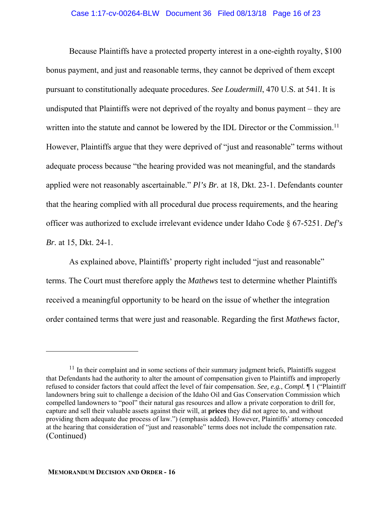Because Plaintiffs have a protected property interest in a one-eighth royalty, \$100 bonus payment, and just and reasonable terms, they cannot be deprived of them except pursuant to constitutionally adequate procedures. *See Loudermill*, 470 U.S. at 541. It is undisputed that Plaintiffs were not deprived of the royalty and bonus payment – they are written into the statute and cannot be lowered by the IDL Director or the Commission.<sup>11</sup> However, Plaintiffs argue that they were deprived of "just and reasonable" terms without adequate process because "the hearing provided was not meaningful, and the standards applied were not reasonably ascertainable." *Pl's Br.* at 18, Dkt. 23-1. Defendants counter that the hearing complied with all procedural due process requirements, and the hearing officer was authorized to exclude irrelevant evidence under Idaho Code § 67-5251. *Def's Br.* at 15, Dkt. 24-1.

As explained above, Plaintiffs' property right included "just and reasonable" terms. The Court must therefore apply the *Mathews* test to determine whether Plaintiffs received a meaningful opportunity to be heard on the issue of whether the integration order contained terms that were just and reasonable. Regarding the first *Mathews* factor,

 $11$  In their complaint and in some sections of their summary judgment briefs, Plaintiffs suggest that Defendants had the authority to alter the amount of compensation given to Plaintiffs and improperly refused to consider factors that could affect the level of fair compensation. *See, e.g.*, *Compl.* ¶ 1 ("Plaintiff landowners bring suit to challenge a decision of the Idaho Oil and Gas Conservation Commission which compelled landowners to "pool" their natural gas resources and allow a private corporation to drill for, capture and sell their valuable assets against their will, at **prices** they did not agree to, and without providing them adequate due process of law.") (emphasis added). However, Plaintiffs' attorney conceded at the hearing that consideration of "just and reasonable" terms does not include the compensation rate. (Continued)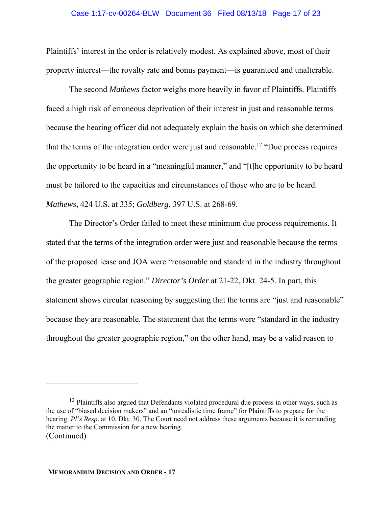#### Case 1:17-cv-00264-BLW Document 36 Filed 08/13/18 Page 17 of 23

Plaintiffs' interest in the order is relatively modest. As explained above, most of their property interest—the royalty rate and bonus payment—is guaranteed and unalterable.

The second *Mathews* factor weighs more heavily in favor of Plaintiffs. Plaintiffs faced a high risk of erroneous deprivation of their interest in just and reasonable terms because the hearing officer did not adequately explain the basis on which she determined that the terms of the integration order were just and reasonable.<sup>12</sup> "Due process requires the opportunity to be heard in a "meaningful manner," and "[t]he opportunity to be heard must be tailored to the capacities and circumstances of those who are to be heard. *Mathews*, 424 U.S. at 335; *Goldberg*, 397 U.S. at 268-69.

The Director's Order failed to meet these minimum due process requirements. It stated that the terms of the integration order were just and reasonable because the terms of the proposed lease and JOA were "reasonable and standard in the industry throughout the greater geographic region." *Director's Order* at 21-22, Dkt. 24-5. In part, this statement shows circular reasoning by suggesting that the terms are "just and reasonable" because they are reasonable. The statement that the terms were "standard in the industry throughout the greater geographic region," on the other hand, may be a valid reason to

 $12$  Plaintiffs also argued that Defendants violated procedural due process in other ways, such as the use of "biased decision makers" and an "unrealistic time frame" for Plaintiffs to prepare for the hearing. *Pl's Resp*. at 10, Dkt. 30. The Court need not address these arguments because it is remanding the matter to the Commission for a new hearing. (Continued)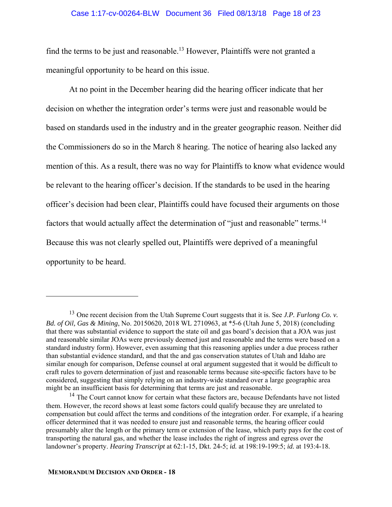#### Case 1:17-cv-00264-BLW Document 36 Filed 08/13/18 Page 18 of 23

find the terms to be just and reasonable.<sup>13</sup> However, Plaintiffs were not granted a meaningful opportunity to be heard on this issue.

At no point in the December hearing did the hearing officer indicate that her decision on whether the integration order's terms were just and reasonable would be based on standards used in the industry and in the greater geographic reason. Neither did the Commissioners do so in the March 8 hearing. The notice of hearing also lacked any mention of this. As a result, there was no way for Plaintiffs to know what evidence would be relevant to the hearing officer's decision. If the standards to be used in the hearing officer's decision had been clear, Plaintiffs could have focused their arguments on those factors that would actually affect the determination of "just and reasonable" terms.<sup>14</sup> Because this was not clearly spelled out, Plaintiffs were deprived of a meaningful opportunity to be heard.

<sup>13</sup> One recent decision from the Utah Supreme Court suggests that it is. See *J.P. Furlong Co. v. Bd. of Oil, Gas & Mining*, No. 20150620, 2018 WL 2710963, at \*5-6 (Utah June 5, 2018) (concluding that there was substantial evidence to support the state oil and gas board's decision that a JOA was just and reasonable similar JOAs were previously deemed just and reasonable and the terms were based on a standard industry form). However, even assuming that this reasoning applies under a due process rather than substantial evidence standard, and that the and gas conservation statutes of Utah and Idaho are similar enough for comparison, Defense counsel at oral argument suggested that it would be difficult to craft rules to govern determination of just and reasonable terms because site-specific factors have to be considered, suggesting that simply relying on an industry-wide standard over a large geographic area might be an insufficient basis for determining that terms are just and reasonable.

<sup>&</sup>lt;sup>14</sup> The Court cannot know for certain what these factors are, because Defendants have not listed them. However, the record shows at least some factors could qualify because they are unrelated to compensation but could affect the terms and conditions of the integration order. For example, if a hearing officer determined that it was needed to ensure just and reasonable terms, the hearing officer could presumably alter the length or the primary term or extension of the lease, which party pays for the cost of transporting the natural gas, and whether the lease includes the right of ingress and egress over the landowner's property. *Hearing Transcript* at 62:1-15, Dkt. 24-5; *id.* at 198:19-199:5; *id.* at 193:4-18.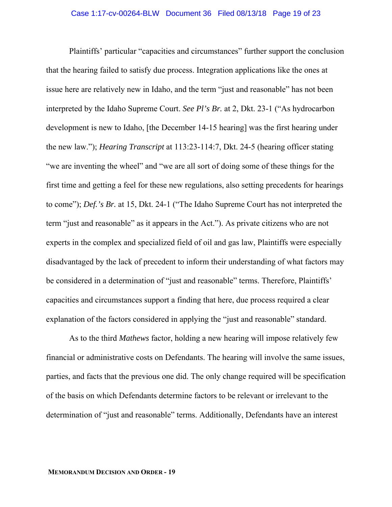Plaintiffs' particular "capacities and circumstances" further support the conclusion that the hearing failed to satisfy due process. Integration applications like the ones at issue here are relatively new in Idaho, and the term "just and reasonable" has not been interpreted by the Idaho Supreme Court. *See Pl's Br.* at 2, Dkt. 23-1 ("As hydrocarbon development is new to Idaho, [the December 14-15 hearing] was the first hearing under the new law."); *Hearing Transcript* at 113:23-114:7, Dkt. 24-5 (hearing officer stating "we are inventing the wheel" and "we are all sort of doing some of these things for the first time and getting a feel for these new regulations, also setting precedents for hearings to come"); *Def.'s Br.* at 15, Dkt. 24-1 ("The Idaho Supreme Court has not interpreted the term "just and reasonable" as it appears in the Act."). As private citizens who are not experts in the complex and specialized field of oil and gas law, Plaintiffs were especially disadvantaged by the lack of precedent to inform their understanding of what factors may be considered in a determination of "just and reasonable" terms. Therefore, Plaintiffs' capacities and circumstances support a finding that here, due process required a clear explanation of the factors considered in applying the "just and reasonable" standard.

As to the third *Mathews* factor, holding a new hearing will impose relatively few financial or administrative costs on Defendants. The hearing will involve the same issues, parties, and facts that the previous one did. The only change required will be specification of the basis on which Defendants determine factors to be relevant or irrelevant to the determination of "just and reasonable" terms. Additionally, Defendants have an interest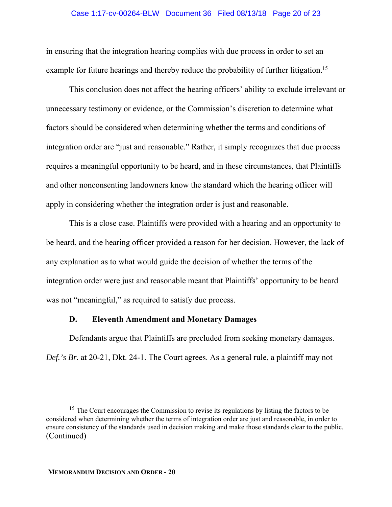### Case 1:17-cv-00264-BLW Document 36 Filed 08/13/18 Page 20 of 23

in ensuring that the integration hearing complies with due process in order to set an example for future hearings and thereby reduce the probability of further litigation.<sup>15</sup>

This conclusion does not affect the hearing officers' ability to exclude irrelevant or unnecessary testimony or evidence, or the Commission's discretion to determine what factors should be considered when determining whether the terms and conditions of integration order are "just and reasonable." Rather, it simply recognizes that due process requires a meaningful opportunity to be heard, and in these circumstances, that Plaintiffs and other nonconsenting landowners know the standard which the hearing officer will apply in considering whether the integration order is just and reasonable.

This is a close case. Plaintiffs were provided with a hearing and an opportunity to be heard, and the hearing officer provided a reason for her decision. However, the lack of any explanation as to what would guide the decision of whether the terms of the integration order were just and reasonable meant that Plaintiffs' opportunity to be heard was not "meaningful," as required to satisfy due process.

## **D. Eleventh Amendment and Monetary Damages**

Defendants argue that Plaintiffs are precluded from seeking monetary damages. *Def.'s Br.* at 20-21, Dkt. 24-1. The Court agrees. As a general rule, a plaintiff may not

<sup>&</sup>lt;sup>15</sup> The Court encourages the Commission to revise its regulations by listing the factors to be considered when determining whether the terms of integration order are just and reasonable, in order to ensure consistency of the standards used in decision making and make those standards clear to the public. (Continued)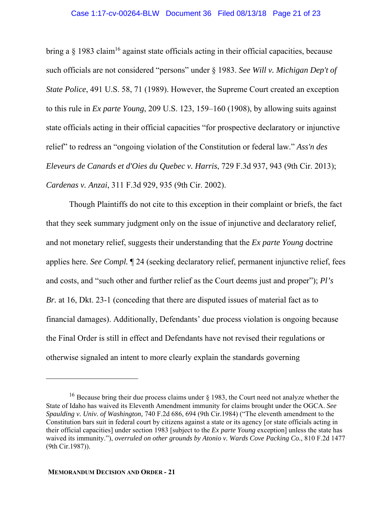#### Case 1:17-cv-00264-BLW Document 36 Filed 08/13/18 Page 21 of 23

bring a  $\S$  1983 claim<sup>16</sup> against state officials acting in their official capacities, because such officials are not considered "persons" under § 1983. *See Will v. Michigan Dep't of State Police*, 491 U.S. 58, 71 (1989). However, the Supreme Court created an exception to this rule in *Ex parte Young*, 209 U.S. 123, 159–160 (1908), by allowing suits against state officials acting in their official capacities "for prospective declaratory or injunctive relief" to redress an "ongoing violation of the Constitution or federal law." *Ass'n des Eleveurs de Canards et d'Oies du Quebec v. Harris*, 729 F.3d 937, 943 (9th Cir. 2013); *Cardenas v. Anzai*, 311 F.3d 929, 935 (9th Cir. 2002).

Though Plaintiffs do not cite to this exception in their complaint or briefs, the fact that they seek summary judgment only on the issue of injunctive and declaratory relief, and not monetary relief, suggests their understanding that the *Ex parte Young* doctrine applies here. *See Compl.* ¶ 24 (seeking declaratory relief, permanent injunctive relief, fees and costs, and "such other and further relief as the Court deems just and proper"); *Pl's Br.* at 16, Dkt. 23-1 (conceding that there are disputed issues of material fact as to financial damages). Additionally, Defendants' due process violation is ongoing because the Final Order is still in effect and Defendants have not revised their regulations or otherwise signaled an intent to more clearly explain the standards governing

<sup>&</sup>lt;sup>16</sup> Because bring their due process claims under  $\S$  1983, the Court need not analyze whether the State of Idaho has waived its Eleventh Amendment immunity for claims brought under the OGCA. *See Spaulding v. Univ. of Washington,* 740 F.2d 686, 694 (9th Cir.1984) ("The eleventh amendment to the Constitution bars suit in federal court by citizens against a state or its agency [or state officials acting in their official capacities] under section 1983 [subject to the *Ex parte Young* exception] unless the state has waived its immunity."), *overruled on other grounds by Atonio v. Wards Cove Packing Co.,* 810 F.2d 1477 (9th Cir.1987)).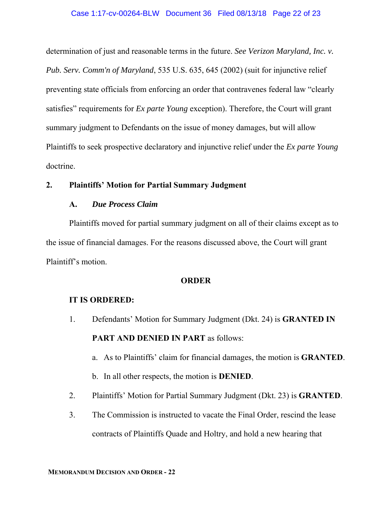determination of just and reasonable terms in the future. *See Verizon Maryland, Inc. v. Pub. Serv. Comm'n of Maryland*, 535 U.S. 635, 645 (2002) (suit for injunctive relief preventing state officials from enforcing an order that contravenes federal law "clearly satisfies" requirements for *Ex parte Young* exception). Therefore, the Court will grant summary judgment to Defendants on the issue of money damages, but will allow Plaintiffs to seek prospective declaratory and injunctive relief under the *Ex parte Young* doctrine.

## **2. Plaintiffs' Motion for Partial Summary Judgment**

## **A.** *Due Process Claim*

 Plaintiffs moved for partial summary judgment on all of their claims except as to the issue of financial damages. For the reasons discussed above, the Court will grant Plaintiff's motion.

### **ORDER**

## **IT IS ORDERED:**

1. Defendants' Motion for Summary Judgment (Dkt. 24) is **GRANTED IN PART AND DENIED IN PART** as follows:

a. As to Plaintiffs' claim for financial damages, the motion is **GRANTED**.

b. In all other respects, the motion is **DENIED**.

- 2. Plaintiffs' Motion for Partial Summary Judgment (Dkt. 23) is **GRANTED**.
- 3. The Commission is instructed to vacate the Final Order, rescind the lease contracts of Plaintiffs Quade and Holtry, and hold a new hearing that